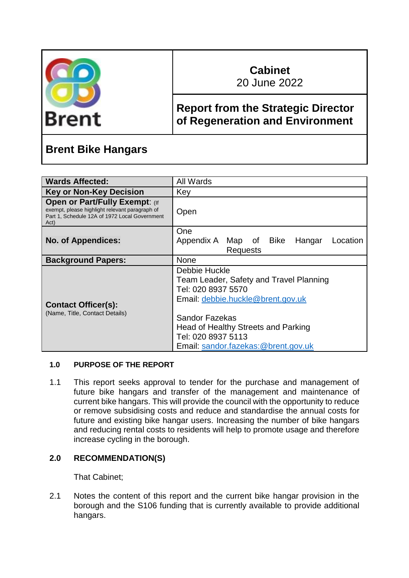

# **Cabinet**

20 June 2022

### **Report from the Strategic Director of Regeneration and Environment**

## **Brent Bike Hangars**

| <b>Wards Affected:</b>                                                                                                                           | All Wards                                                                                                                                                                    |
|--------------------------------------------------------------------------------------------------------------------------------------------------|------------------------------------------------------------------------------------------------------------------------------------------------------------------------------|
| <b>Key or Non-Key Decision</b>                                                                                                                   | Key                                                                                                                                                                          |
| <b>Open or Part/Fully Exempt: (If</b><br>exempt, please highlight relevant paragraph of<br>Part 1, Schedule 12A of 1972 Local Government<br>Act) | Open                                                                                                                                                                         |
|                                                                                                                                                  | One                                                                                                                                                                          |
| <b>No. of Appendices:</b>                                                                                                                        | Appendix A Map of Bike<br>Hangar<br>Location                                                                                                                                 |
|                                                                                                                                                  | <b>Requests</b>                                                                                                                                                              |
| <b>Background Papers:</b>                                                                                                                        | <b>None</b>                                                                                                                                                                  |
| <b>Contact Officer(s):</b><br>(Name, Title, Contact Details)                                                                                     | Debbie Huckle<br>Team Leader, Safety and Travel Planning<br>Tel: 020 8937 5570<br>Email: debbie.huckle@brent.gov.uk<br>Sandor Fazekas<br>Head of Healthy Streets and Parking |
|                                                                                                                                                  | Tel: 020 8937 5113<br>Email: sandor.fazekas:@brent.gov.uk                                                                                                                    |

#### **1.0 PURPOSE OF THE REPORT**

1.1 This report seeks approval to tender for the purchase and management of future bike hangars and transfer of the management and maintenance of current bike hangars. This will provide the council with the opportunity to reduce or remove subsidising costs and reduce and standardise the annual costs for future and existing bike hangar users. Increasing the number of bike hangars and reducing rental costs to residents will help to promote usage and therefore increase cycling in the borough.

#### **2.0 RECOMMENDATION(S)**

That Cabinet;

2.1 Notes the content of this report and the current bike hangar provision in the borough and the S106 funding that is currently available to provide additional hangars.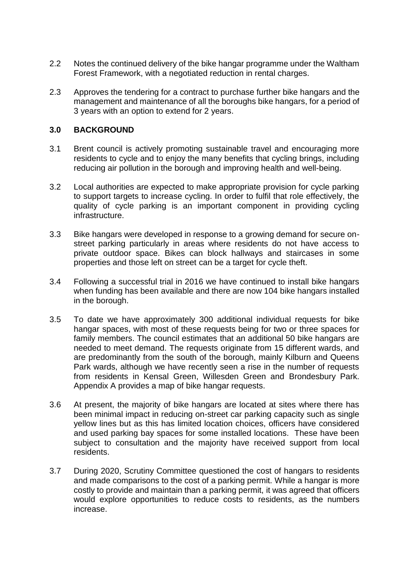- 2.2 Notes the continued delivery of the bike hangar programme under the Waltham Forest Framework, with a negotiated reduction in rental charges.
- 2.3 Approves the tendering for a contract to purchase further bike hangars and the management and maintenance of all the boroughs bike hangars, for a period of 3 years with an option to extend for 2 years.

#### **3.0 BACKGROUND**

- 3.1 Brent council is actively promoting sustainable travel and encouraging more residents to cycle and to enjoy the many benefits that cycling brings, including reducing air pollution in the borough and improving health and well-being.
- 3.2 Local authorities are expected to make appropriate provision for cycle parking to support targets to increase cycling. In order to fulfil that role effectively, the quality of cycle parking is an important component in providing cycling infrastructure.
- 3.3 Bike hangars were developed in response to a growing demand for secure onstreet parking particularly in areas where residents do not have access to private outdoor space. Bikes can block hallways and staircases in some properties and those left on street can be a target for cycle theft.
- 3.4 Following a successful trial in 2016 we have continued to install bike hangars when funding has been available and there are now 104 bike hangars installed in the borough.
- 3.5 To date we have approximately 300 additional individual requests for bike hangar spaces, with most of these requests being for two or three spaces for family members. The council estimates that an additional 50 bike hangars are needed to meet demand. The requests originate from 15 different wards, and are predominantly from the south of the borough, mainly Kilburn and Queens Park wards, although we have recently seen a rise in the number of requests from residents in Kensal Green, Willesden Green and Brondesbury Park. Appendix A provides a map of bike hangar requests.
- 3.6 At present, the majority of bike hangars are located at sites where there has been minimal impact in reducing on-street car parking capacity such as single yellow lines but as this has limited location choices, officers have considered and used parking bay spaces for some installed locations. These have been subject to consultation and the majority have received support from local residents.
- 3.7 During 2020, Scrutiny Committee questioned the cost of hangars to residents and made comparisons to the cost of a parking permit. While a hangar is more costly to provide and maintain than a parking permit, it was agreed that officers would explore opportunities to reduce costs to residents, as the numbers increase.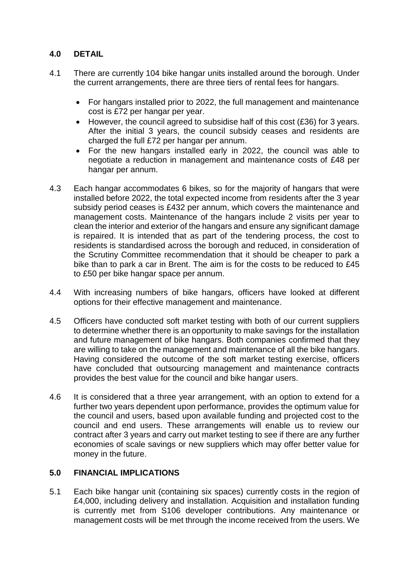#### **4.0 DETAIL**

- 4.1 There are currently 104 bike hangar units installed around the borough. Under the current arrangements, there are three tiers of rental fees for hangars.
	- For hangars installed prior to 2022, the full management and maintenance cost is £72 per hangar per year.
	- However, the council agreed to subsidise half of this cost (£36) for 3 years. After the initial 3 years, the council subsidy ceases and residents are charged the full £72 per hangar per annum.
	- For the new hangars installed early in 2022, the council was able to negotiate a reduction in management and maintenance costs of £48 per hangar per annum.
- 4.3 Each hangar accommodates 6 bikes, so for the majority of hangars that were installed before 2022, the total expected income from residents after the 3 year subsidy period ceases is £432 per annum, which covers the maintenance and management costs. Maintenance of the hangars include 2 visits per year to clean the interior and exterior of the hangars and ensure any significant damage is repaired. It is intended that as part of the tendering process, the cost to residents is standardised across the borough and reduced, in consideration of the Scrutiny Committee recommendation that it should be cheaper to park a bike than to park a car in Brent. The aim is for the costs to be reduced to £45 to £50 per bike hangar space per annum.
- 4.4 With increasing numbers of bike hangars, officers have looked at different options for their effective management and maintenance.
- 4.5 Officers have conducted soft market testing with both of our current suppliers to determine whether there is an opportunity to make savings for the installation and future management of bike hangars. Both companies confirmed that they are willing to take on the management and maintenance of all the bike hangars. Having considered the outcome of the soft market testing exercise, officers have concluded that outsourcing management and maintenance contracts provides the best value for the council and bike hangar users.
- 4.6 It is considered that a three year arrangement, with an option to extend for a further two years dependent upon performance, provides the optimum value for the council and users, based upon available funding and projected cost to the council and end users. These arrangements will enable us to review our contract after 3 years and carry out market testing to see if there are any further economies of scale savings or new suppliers which may offer better value for money in the future.

#### **5.0 FINANCIAL IMPLICATIONS**

5.1 Each bike hangar unit (containing six spaces) currently costs in the region of £4,000, including delivery and installation. Acquisition and installation funding is currently met from S106 developer contributions. Any maintenance or management costs will be met through the income received from the users. We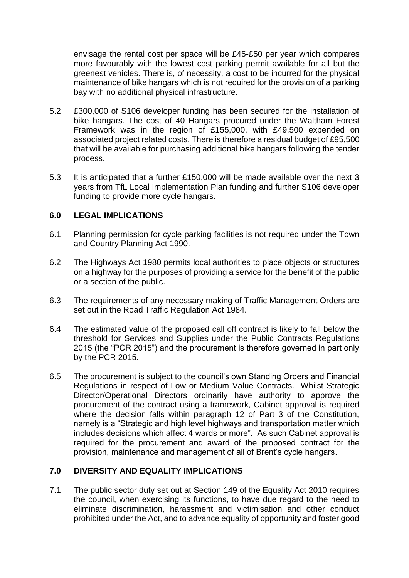envisage the rental cost per space will be £45-£50 per year which compares more favourably with the lowest cost parking permit available for all but the greenest vehicles. There is, of necessity, a cost to be incurred for the physical maintenance of bike hangars which is not required for the provision of a parking bay with no additional physical infrastructure.

- 5.2 £300,000 of S106 developer funding has been secured for the installation of bike hangars. The cost of 40 Hangars procured under the Waltham Forest Framework was in the region of £155,000, with £49,500 expended on associated project related costs. There is therefore a residual budget of £95,500 that will be available for purchasing additional bike hangars following the tender process.
- 5.3 It is anticipated that a further £150,000 will be made available over the next 3 years from TfL Local Implementation Plan funding and further S106 developer funding to provide more cycle hangars.

#### **6.0 LEGAL IMPLICATIONS**

- 6.1 Planning permission for cycle parking facilities is not required under the Town and Country Planning Act 1990.
- 6.2 The Highways Act 1980 permits local authorities to place objects or structures on a highway for the purposes of providing a service for the benefit of the public or a section of the public.
- 6.3 The requirements of any necessary making of Traffic Management Orders are set out in the Road Traffic Regulation Act 1984.
- 6.4 The estimated value of the proposed call off contract is likely to fall below the threshold for Services and Supplies under the Public Contracts Regulations 2015 (the "PCR 2015") and the procurement is therefore governed in part only by the PCR 2015.
- 6.5 The procurement is subject to the council's own Standing Orders and Financial Regulations in respect of Low or Medium Value Contracts. Whilst Strategic Director/Operational Directors ordinarily have authority to approve the procurement of the contract using a framework, Cabinet approval is required where the decision falls within paragraph 12 of Part 3 of the Constitution, namely is a "Strategic and high level highways and transportation matter which includes decisions which affect 4 wards or more". As such Cabinet approval is required for the procurement and award of the proposed contract for the provision, maintenance and management of all of Brent's cycle hangars.

#### **7.0 DIVERSITY AND EQUALITY IMPLICATIONS**

7.1 The public sector duty set out at Section 149 of the Equality Act 2010 requires the council, when exercising its functions, to have due regard to the need to eliminate discrimination, harassment and victimisation and other conduct prohibited under the Act, and to advance equality of opportunity and foster good